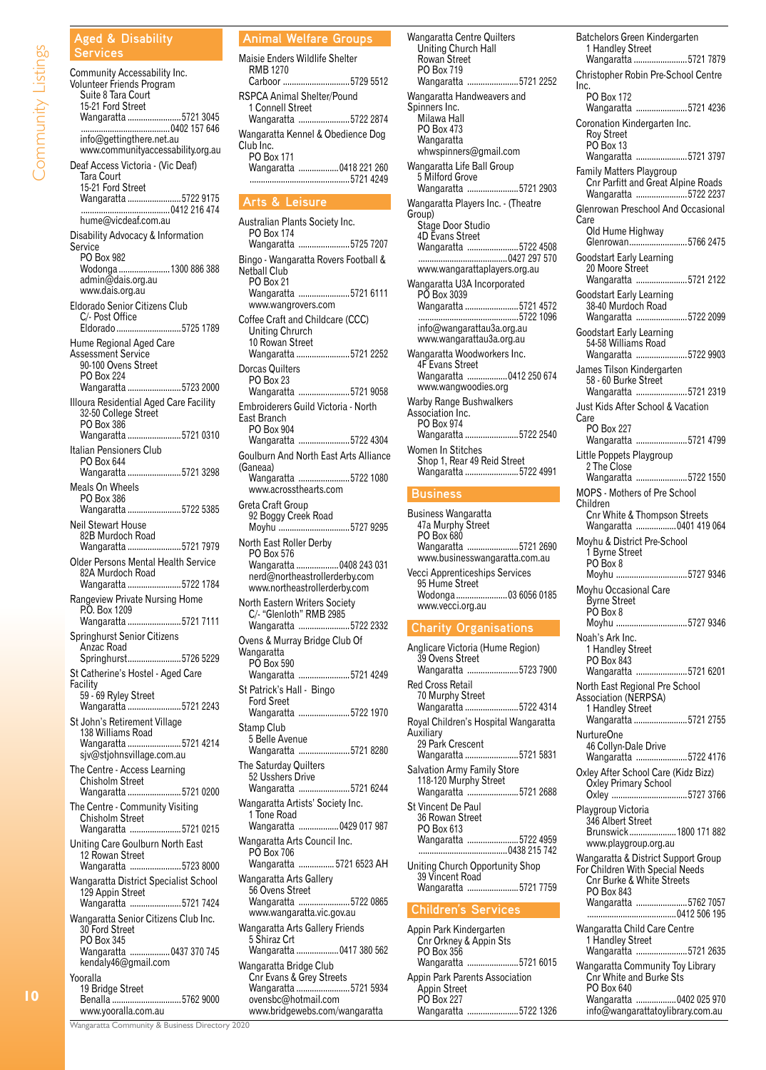#### **Aged & Disability Services**

Community Listings

Community Accessability Inc. Volunteer Friends Program Suite 8 Tara Court 15-21 Ford Street Wangaratta ........................5721 3045 ........................................0402 157 646 info@gettingthere.net.au www.communityaccessability.org.au Deaf Access Victoria - (Vic Deaf) Tara Court 15-21 Ford Street Wangaratta ........................5722 9175 ........................................0412 216 474 hume@vicdeaf.com.au Disability Advocacy & Information Service PO Box 982 Wodonga .......................1300 886 388 admin@dais.org.au www.dais.org.au Eldorado Senior Citizens Club C/- Post Office<br>Eldorado .................. ...........................5725 1789 Hume Regional Aged Care Assessment Service 90-100 Ovens Street PO Box 224<br>Wangaratta.... Wangaratta ........................5723 2000 Illoura Residential Aged Care Facility 32-50 College Street PO Box 386 Wangaratta ........................5721 0310 Italian Pensioners Club PO Box 644 Wangaratta ........................5721 3298 Meals On Wheels PO Box 386 Wangaratta ........................5722 5385 Neil Stewart House 82B Murdoch Road Wangaratta ........................5721 7979 Older Persons Mental Health Service 82A Murdoch Road Wangaratta ........................5722 1784 Rangeview Private Nursing Home P.O. Box 1209 Wangaratta ........................5721 7111 Springhurst Senior Citizens Anzac Road Springhurst........................5726 5229 St Catherine's Hostel - Aged Care Facility 59 - 69 Ryley Street Wangaratta ........................5721 2243 St John's Retirement Village 138 Williams Road Wangaratta ........................5721 4214 sjv@stjohnsvillage.com.au The Centre - Access Learning Chisholm Street Wangaratta ........................5721 0200 The Centre - Community Visiting Chisholm Street Wangaratta .......................5721 0215 Uniting Care Goulburn North East 12 Rowan Street Wangaratta .......................5723 8000 Wangaratta District Specialist School 129 Appin Street Wangaratta .......................5721 7424 Wangaratta Senior Citizens Club Inc. 30 Ford Street PO Box 345 Wangaratta ..................0437 370 745 kendaly46@gmail.com Yooralla 19 Bridge Street<br>Benalla .5762 9000

#### **Animal Welfare Groups**

| Maisie Enders Wildlife Shelter                               |  |
|--------------------------------------------------------------|--|
| <b>RMB 1270</b><br>Carboor 5729 5512                         |  |
| RSPCA Animal Shelter/Pound<br>1 Connell Street               |  |
| Wangaratta 5722 2874                                         |  |
| Wangaratta Kennel & Obedience Dog<br>Club Inc.<br>PO Box 171 |  |
| Wangaratta  0418 221 260<br>5721 4249                        |  |

#### **Arts & Leisure**

Australian Plants Society Inc. PO Box 174 Wangaratta .......................5725 7207 Bingo - Wangaratta Rovers Football & Netball Club PO Box 21 Wangaratta .......................5721 6111 www.wangrovers.com Coffee Craft and Childcare (CCC) Uniting Chrurch 10 Rowan Street Wangaratta ........................5721 2252 Dorcas Quilters PO Box 23 Wangaratta .......................5721 9058 Embroiderers Guild Victoria - North East Branch PO Box 904 Wangaratta .......................5722 4304 Goulburn And North East Arts Alliance (Ganeaa) Wangaratta .......................5722 1080 www.acrossthearts.com Greta Craft Group 92 Boggy Creek Road Moyhu ................................5727 9295 North East Roller Derby PO Box 576<br>Wangaratta ..... .......0408 243 031 nerd@northeastrollerderby.com www.northeastrollerderby.com North Eastern Writers Society C/- "Glenloth" RMB 2985 Wangaratta .......................5722 2332 Ovens & Murray Bridge Club Of Wangaratta PO Box 590 Wangaratta .......................5721 4249 St Patrick's Hall - Bingo Ford Sreet Wangaratta .......................5722 1970 Stamp Club 5 Belle Avenue Wangaratta .......................5721 8280 The Saturday Quilters 52 Usshers Drive Wangaratta .......................5721 6244 Wangaratta Artists' Society Inc. 1 Tone Road Wangaratta ..................0429 017 987 Wangaratta Arts Council Inc. PO Box 706 Wangaratta ................ 5721 6523 AH Wangaratta Arts Gallery 56 Ovens Street Wangaratta .......................5722 0865 www.wangaratta.vic.gov.au Wangaratta Arts Gallery Friends 5 Shiraz Crt Wangaratta ...................0417 380 562 Wangaratta Bridge Club Cnr Evans & Grey Streets Wangaratta ........................5721 5934 ovensbc@hotmail.com www.bridgewebs.com/wangaratta

Wangaratta Centre Quilters Uniting Church Hall Rowan Street PO Box 719 Wangaratta .......................5721 2252 Wangaratta Handweavers and Spinners Inc. Milawa Hall PO Box 473 Wangaratta whwspinners@gmail.com Wangaratta Life Ball Group 5 Milford Grove Wangaratta .......................5721 2903 Wangaratta Players Inc. - (Theatre Group) Stage Door Studio 4D Evans Street Wangaratta .......................5722 4508 ........................................0427 297 570 www.wangarattaplayers.org.au Wangaratta U3A Incorporated PO Box 3039 Wangaratta ........................5721 4572 .............................................5722 1096 info@wangarattau3a.org.au www.wangarattau3a.org.au Wangaratta Woodworkers Inc. 4F Evans Street Wangaratta ..................0412 250 674 www.wangwoodies.org Warby Range Bushwalkers Association Inc. PO Box 974 Wangaratta ........................5722 2540 Women In Stitches Shop 1, Rear 49 Reid Street Wangaratta ........................5722 4991

## **Business**

Business Wangaratta 47a Murphy Street PO Box 680 Wangaratta .......................5721 2690 www.businesswangaratta.com.au Vecci Apprenticeships Services 95 Hume Street<br>Wodonga............ ................03 6056 0185 www.vecci.org.au

## **Charity Organisations**

Anglicare Victoria (Hume Region) 39 Ovens Street Wangaratta .......................5723 7900 Red Cross Retail 70 Murphy Street Wangaratta ........................5722 4314 Royal Children's Hospital Wangaratta Auxiliary 29 Park Crescent Wangaratta ........................5721 5831 Salvation Army Family Store 118-120 Murphy Street Wangaratta .......................5721 2688 St Vincent De Paul 36 Rowan Street PO Box 613 Wangaratta .......................5722 4959 ........................................0438 215 742 Uniting Church Opportunity Shop 39 Vincent Road Wangaratta .......................5721 7759

## **Children's Services**

| Appin Park Kindergarten        |  |
|--------------------------------|--|
| Cnr Orkney & Appin Sts         |  |
| PO Box 356                     |  |
| Wangaratta 5721 6015           |  |
| Appin Park Parents Association |  |
| Appin Street                   |  |
| PO Box 227                     |  |
| Wangaratta 5722 1326           |  |

Batchelors Green Kindergarten 1 Handley Street Wangaratta ........................5721 7879 Christopher Robin Pre-School Centre Inc. PO Box 172 Wangaratta .......................5721 4236 Coronation Kindergarten Inc. Roy Street PO Box 13 Wangaratta .......................5721 3797 Family Matters Playgroup Cnr Parfitt and Great Alpine Roads Wangaratta .......................5722 2237 Glenrowan Preschool And Occasional Care Old Hume Highway Glenrowan..........................5766 2475 Goodstart Early Learning 20 Moore Street Wangaratta .......................5721 2122 Goodstart Early Learning 38-40 Murdoch Road Wangaratta .......................5722 2099 Goodstart Early Learning 54-58 Williams Road Wangaratta .......................5722 9903 James Tilson Kindergarten 58 - 60 Burke Street Wangaratta .......................5721 2319 Just Kids After School & Vacation Care PO Box 227 Wangaratta .......................5721 4799 Little Poppets Playgroup 2 The Close Wangaratta .......................5722 1550 MOPS - Mothers of Pre School Children Cnr White & Thompson Streets Wangaratta ..................0401 419 064 Moyhu & District Pre-School 1 Byrne Street PO Box 8 Moyhu ................................5727 9346 Moyhu Occasional Care Byrne Street PO Box 8<br>Moyhu ...... ...........................5727 9346 Noah's Ark Inc. 1 Handley Street PO Box 843 Wangaratta .......................5721 6201 North East Regional Pre School Association (NERPSA) 1 Handley Street Wangaratta ........................5721 2755 NurtureOne 46 Collyn-Dale Drive Wangaratta .......................5722 4176 Oxley After School Care (Kidz Bizz) Oxley Primary School Oxley ..................................5727 3766 Playgroup Victoria 346 Albert Street Brunswick.....................1800 171 882 www.playgroup.org.au Wangaratta & District Support Group For Children With Special Needs Cnr Burke & White Streets PO Box 843 Wangaratta .......................5762 7057 ........................................0412 506 195 Wangaratta Child Care Centre 1 Handley Street Wangaratta .......................5721 2635 Wangaratta Community Toy Library Cnr White and Burke Sts PO Box 640

Wangaratta ..................0402 025 970 info@wangarattatoylibrary.com.au

Wangaratta Community & Business Directory 2020

www.yooralla.com.au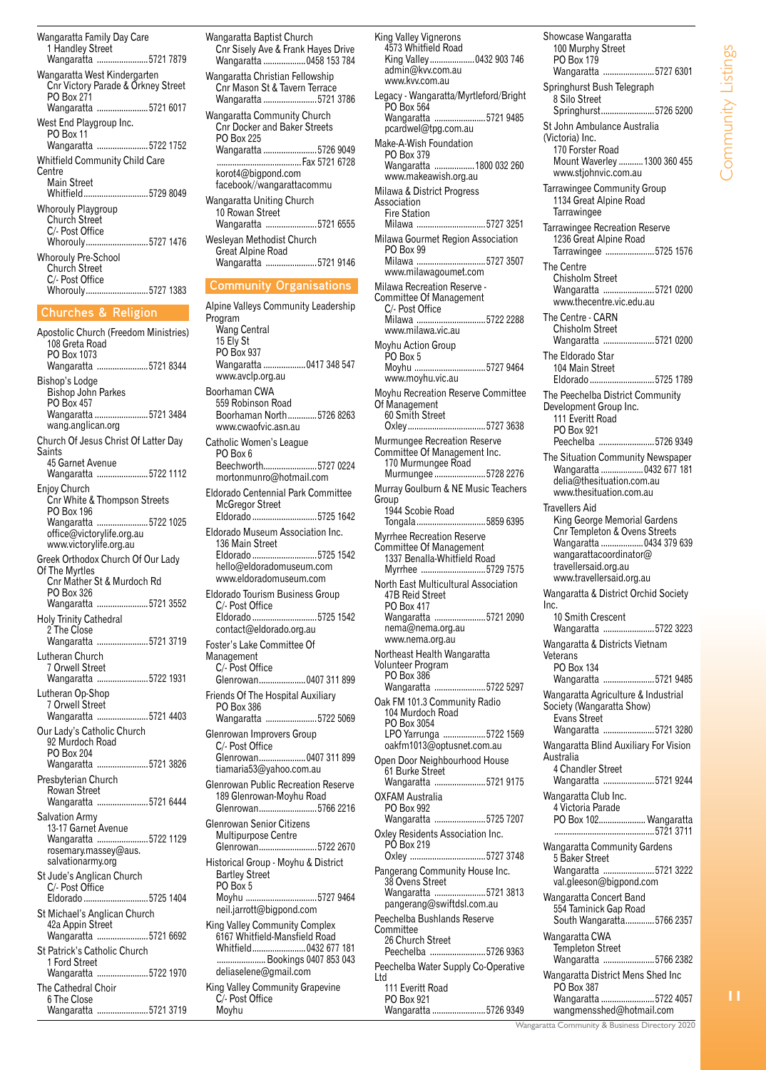Wangaratta Family Day Care 1 Handley Street<br>Wangaratta ......... ....................5721 7879 Wangaratta West Kindergarten Cnr Victory Parade & Orkney Street PO Box 271 Wangaratta .......................5721 6017 West End Playgroup Inc. PO Box 11 Wangaratta .......................5722 1752 Whitfield Community Child Care Centre Main Street<br>Whitfield..... Whitfield.............................5729 8049 Whorouly Playgroup Church Street C/- Post Office<br>Whorouly......... Whorouly............................5727 1476 Whorouly Pre-School Church Street C/- Post Office<br>Whorouly........ ....................5727 1383

## **Churches & Religion**

Apostolic Church (Freedom Ministries) 108 Greta Road PO Box 1073 Wangaratta .......................5721 8344 Bishop's Lodge Bishop John Parkes PO Box 457<br>Wangaratta .. Wangaratta ........................5721 3484 wang.anglican.org Church Of Jesus Christ Of Latter Day Saints 45 Garnet Avenue Wangaratta .......................5722 1112 Enjoy Church Cnr White & Thompson Streets PO Box 196<br>Wangaratta... ..................5722 1025 office@victorylife.org.au www.victorylife.org.au Greek Orthodox Church Of Our Lady Of The Myrtles Cnr Mather St & Murdoch Rd PO Box 326<br>Wangaratta... ...................5721 3552 Holy Trinity Cathedral 2 The Close Wangaratta .......................5721 3719 Lutheran Church 7 Orwell Street Wangaratta .......................5722 1931 Lutheran Op-Shop 7 Orwell Street Wangaratta .......................5721 4403 Our Lady's Catholic Church 92 Murdoch Road PO Box 204<br>Wangaratta... Wangaratta .......................5721 3826 Presbyterian Church Rowan Street Wangaratta .......................5721 6444 Salvation Army 13-17 Garnet Avenue Wangaratta .......................5722 1129 rosemary.massey@aus. salvationarmy.org St Jude's Anglican Church C/- Post Office Eldorado .............................5725 1404 St Michael's Anglican Church 42a Appin Street Wangaratta .......................5721 6692 St Patrick's Catholic Church 1 Ford Street Wangaratta .......................5722 1970 The Cathedral Choir 6 The Close .................5721 3719

Wangaratta Baptist Church Cnr Sisely Ave & Frank Hayes Drive Wangaratta ...................0458 153 784 Wangaratta Christian Fellowship Cnr Mason St & Tavern Terrace Wangaratta ........................5721 3786 Wangaratta Community Church Cnr Docker and Baker Streets PO Box 225<br>Wangaratta ...... Wangaratta ........................5726 9049 ......................................Fax 5721 6728 korot4@bigpond.com facebook//wangarattacommu Wangaratta Uniting Church 10 Rowan Street<br>Wangaratta ......... ..................5721 6555 Wesleyan Methodist Church .<br>Great Alpine Road<br>Wangaratta ............ Wangaratta .......................5721 9146 **Community Organisations** Alpine Valleys Community Leadership Program Wang Central 15 Ely St PO Box 937<br>Wangaratta ... .............0417 348 547 www.avclp.org.au Boorhaman CWA 559 Robinson Road Boorhaman North.............5726 8263 www.cwaofvic.asn.au Catholic Women's League PO Box 6<br>Beechworth... ..............5727 0224 mortonmunro@hotmail.com Eldorado Centennial Park Committee McGregor Street Eldorado .............................5725 1642 Eldorado Museum Association Inc. 136 Main Street Eldorado .............................5725 1542 hello@eldoradomuseum.com www.eldoradomuseum.com Eldorado Tourism Business Group C/- Post Office<br>Eldorado ............ ..................5725 1542 contact@eldorado.org.au Foster's Lake Committee Of Management C/- Post Office<br>Glenrowan....... ............0407 311 899 Friends Of The Hospital Auxiliary PO Box 386 Wangaratta .......................5722 5069 Glenrowan Improvers Group C/- Post Office<br>Glenrowan........ ..............0407 311 899 tiamaria53@yahoo.com.au Glenrowan Public Recreation Reserve 189 Glenrowan-Moyhu Road Glenrowan..........................5766 2216 Glenrowan Senior Citizens Multipurpose Centre Glenrowan..........................5722 2670 Historical Group - Moyhu & District Bartley Street PO Box 5<br>Moyhu .... Moyhu ................................5727 9464 neil.jarrott@bigpond.com King Valley Community Complex 6167 Whitfield-Mansfield Road Whitfield........................0432 677 181 ...................... Bookings 0407 853 043 deliaselene@gmail.com King Valley Community Grapevine C/- Post Office Ltd

Moyhu

King Valley Vignerons 4573 Whitfield Road King Valley....................0432 903 746 admin@kvv.com.au www.kvv.com.au Legacy - Wangaratta/Myrtleford/Bright PO Box 564<br>Wangaratta ... ................5721 9485 pcardwel@tpg.com.au Make-A-Wish Foundation PO Box 379<br>Wangaratta ........1800 032 260 www.makeawish.org.au Milawa & District Progress **Association** Fire Station<br>Milawa ........ ...................5727 3251 Milawa Gourmet Region Association PO Box 99<br>Milawa ......... ...................5727 3507 www.milawagoumet.com Milawa Recreation Reserve - Committee Of Management C/- Post Office<br>Milawa ............. ...............5722 2288 www.milawa.vic.au Moyhu Action Group PO Box 5<br>Moyhu ..... ...............5727 9464 www.moyhu.vic.au Moyhu Recreation Reserve Committee Of Management 60 Smith Street<br>Oxley................... ..........5727 3638 Murmungee Recreation Reserve Committee Of Management Inc. 170 Murmungee Road Murmungee .......................5728 2276 Murray Goulburn & NE Music Teachers **Group** 1944 Scobie Road Tongala...............................5859 6395 Myrrhee Recreation Reserve Committee Of Management 1337 Benalla-Whitfield Road Myrrhee .............................5729 7575 North East Multicultural Association 47B Reid Street PO Box 417<br>Wangaratta .... ...................5721 2090 nema@nema.org.au www.nema.org.au Northeast Health Wangaratta Volunteer Program PO Box 386<br>Wangaratta .... .................5722 5297 Oak FM 101.3 Community Radio 104 Murdoch Road PO Box 3054 LPO Yarrunga ...................5722 1569 oakfm1013@optusnet.com.au Open Door Neighbourhood House 61 Burke Street Wangaratta .......................5721 9175 OXFAM Australia PO Box 992<br>Wangaratta... ................5725 7207 Oxley Residents Association Inc. PÓ Box 219<br>Oxley ............. Oxley ..................................5727 3748 Pangerang Community House Inc. 38 Ovens Street Wangaratta .......................5721 3813 pangerang@swiftdsl.com.au Peechelba Bushlands Reserve **Committee** 26 Church Street Peechelba .........................5726 9363 Peechelba Water Supply Co-Operative 111 Everitt Road PO Box 921

Showcase Wangaratta 100 Murphy Street PO Box 179<br>Wangaratta ... ....................5727 6301 Springhurst Bush Telegraph 8 Silo Street Springhurst........................5726 5200 St John Ambulance Australia (Victoria) Inc. 170 Forster Road Mount Waverley ...........1300 360 455 www.stjohnvic.com.au Tarrawingee Community Group 1134 Great Alpine Road **Tarrawingee** Tarrawingee Recreation Reserve 1236 Great Alpine Road Tarrawingee ......................5725 1576 The Centre Chisholm Street Wangaratta .......................5721 0200 www.thecentre.vic.edu.au The Centre - CARN Chisholm Street Wangaratta .......................5721 0200 The Eldorado Star 104 Main Street<br>Eldorado ..........................5725 1789 The Peechelba District Community Development Group Inc. 111 Everitt Road PO Box 921<br>Peechelba... ...................5726 9349 The Situation Community Newspaper Wangaratta ...................0432 677 181 delia@thesituation.com.au www.thesituation.com.au Travellers Aid King George Memorial Gardens Cnr Templeton & Ovens Streets Wangaratta ...................0434 379 639 wangarattacoordinator@ travellersaid.org.au www.travellersaid.org.au Wangaratta & District Orchid Society Inc. 10 Smith Crescent Wangaratta .......................5722 3223 Wangaratta & Districts Vietnam Veterans PO Box 134 Wangaratta .......................5721 9485 Wangaratta Agriculture & Industrial Society (Wangaratta Show) Evans Street Wangaratta .......................5721 3280 Wangaratta Blind Auxiliary For Vision Australia 4 Chandler Street Wangaratta .......................5721 9244 Wangaratta Club Inc. 4 Victoria Parade PO Box 102..................... Wangaratta .............................................5721 3711 Wangaratta Community Gardens 5 Baker Street Wangaratta .......................5721 3222 val.gleeson@bigpond.com Wangaratta Concert Band 554 Taminick Gap Road South Wangaratta.............5766 2357 Wangaratta CWA Templeton Street Wangaratta .......................5766 2382 Wangaratta District Mens Shed Inc PO Box 387 Wangaratta ........................5722 4057 wangmensshed@hotmail.com

Wangaratta Community & Business Directory 2020

..................5726 9349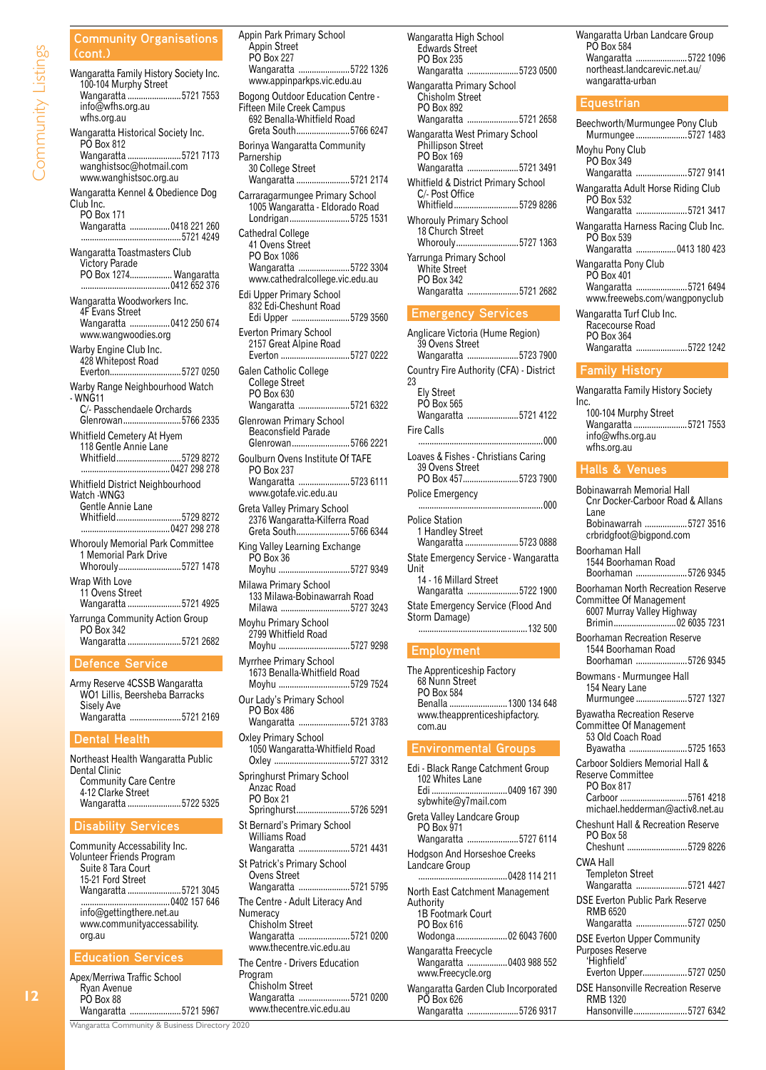**Community Organisations (cont.)** Wangaratta Family History Society Inc. 100-104 Murphy Street Wangaratta ........................5721 7553 info@wfhs.org.au wfhs.org.au Wangaratta Historical Society Inc. PO Box 812 Wangaratta ........................5721 7173 wanghistsoc@hotmail.com www.wanghistsoc.org.au Wangaratta Kennel & Obedience Dog Club Inc. PO Box 171 Wangaratta ..................0418 221 260 .............................................5721 4249 Wangaratta Toastmasters Club Victory Parade PO Box 1274................... Wangaratta ........................................0412 652 376 Wangaratta Woodworkers Inc. 4F Evans Street Wangaratta ..................0412 250 674 www.wangwoodies.org Warby Engine Club Inc. 428 Whitepost Road<br>Everton Everton................................5727 0250 Warby Range Neighbourhood Watch - WNG11 C/- Passchendaele Orchards Glenrowan..........................5766 2335 Whitfield Cemetery At Hyem 118 Gentle Annie Lane Whitfield.............................5729 8272 ........................................0427 298 278 Whitfield District Neighbourhood Watch -WNG3 Gentle Annie Lane Whitfield.............................5729 8272 ........................................0427 298 278 Whorouly Memorial Park Committee 1 Memorial Park Drive Whorouly............................5727 1478 Wrap With Love 11 Ovens Street Wangaratta ........................5721 4925 Yarrunga Community Action Group PO Box 342 Wangaratta ........................5721 2682

#### **Defence Service**

Army Reserve 4CSSB Wangaratta WO1 Lillis, Beersheba Barracks Sisely Ave Wangaratta .......................5721 2169

#### **Dental Health**

Northeast Health Wangaratta Public Dental Clinic Community Care Centre 4-12 Clarke Street Wangaratta ........................5722 5325

#### **Disability Services**

Community Accessability Inc. Volunteer Friends Program Suite 8 Tara Court 15-21 Ford Street Wangaratta ........................5721 3045 ........................................0402 157 646 info@gettingthere.net.au www.communityaccessability. org.au

## **Education Services**

| Apex/Merriwa Traffic School |  |
|-----------------------------|--|
| Ryan Avenue                 |  |
| PO Box 88                   |  |
| Wangaratta 5721 5967        |  |

Appin Park Primary School Appin Street PO Box 227 Wangaratta .......................5722 1326 www.appinparkps.vic.edu.au Bogong Outdoor Education Centre - Fifteen Mile Creek Campus 692 Benalla-Whitfield Road Greta South........................5766 6247 Borinya Wangaratta Community Parnership 30 College Street Wangaratta ........................5721 2174 Carraragarmungee Primary School 1005 Wangaratta - Eldorado Road Londrigan...........................5725 1531 Cathedral College 41 Ovens Street PO Box 1086 Wangaratta .......................5722 3304 www.cathedralcollege.vic.edu.au Edi Upper Primary School 832 Edi-Cheshunt Road Edi Upper ..........................5729 3560 Everton Primary School 2157 Great Alpine Road Everton ...............................5727 0222 Galen Catholic College College Street PO Box 630 Wangaratta .......................5721 6322 Glenrowan Primary School Beaconsfield Parade Glenrowan..........................5766 2221 Goulburn Ovens Institute Of TAFE PO Box 237 Wangaratta .......................5723 6111 www.gotafe.vic.edu.au Greta Valley Primary School 2376 Wangaratta-Kilferra Road Greta South........................5766 6344 King Valley Learning Exchange PO Box 36<br>Moyhu ....... ..........................5727 9349 Milawa Primary School 133 Milawa-Bobinawarrah Road Milawa ...............................5727 3243 Moyhu Primary School 2799 Whitfield Road<br>Movhu ...................... Moyhu ................................5727 9298 Myrrhee Primary School 1673 Benalla-Whitfield Road Moyhu ................................5729 7524 Our Lady's Primary School PO Box 486 Wangaratta .......................5721 3783 Oxley Primary School 1050 Wangaratta-Whitfield Road ............................5727 3312 Springhurst Primary School Anzac Road PO Box 21 Springhurst........................5726 5291 St Bernard's Primary School Williams Road Wangaratta .......................5721 4431 St Patrick's Primary School Ovens Street Wangaratta .......................5721 5795 The Centre - Adult Literacy And **Numeracy** Chisholm Street Wangaratta .......................5721 0200 www.thecentre.vic.edu.au The Centre - Drivers Education Program

| Wangaratta High School<br><b>Edwards Street</b><br>PO Box 235<br>Wangaratta 5723 0500     |
|-------------------------------------------------------------------------------------------|
| Wangaratta Primary School<br>Chisholm Street<br>PO Box 892<br>Wangaratta 5721 2658        |
| Wangaratta West Primary School<br>Phillipson Street<br>PO Box 169<br>Wangaratta 5721 3491 |
| <b>Whitfield &amp; District Primary School</b><br>C/- Post Office<br>Whitfield5729 8286   |
| <b>Whorouly Primary School</b><br>18 Church Street<br>Whorouly5727 1363                   |
| Yarrunga Primary School<br><b>White Street</b><br>PO Box 342<br>Wangaratta 5721 2682      |
| <b>Emergency Services</b>                                                                 |
| Anglicare Victoria (Hume Region)<br>39 Ovens Street                                       |

## **Employment**

The Apprenticeship Factory 68 Nunn Street **PO Box 584**<br>Benalla ........ Benalla ..........................1300 134 648 www.theapprenticeshipfactory. com.au

## **Environmental Groups**

Edi - Black Range Catchment Group 102 Whites Lane<br>Edi ........................ ........0409 167 390 sybwhite@y7mail.com Greta Valley Landcare Group PO Box 971 Wangaratta .......................5727 6114 Hodgson And Horseshoe Creeks Landcare Group ........................................0428 114 211 North East Catchment Management Authority 1B Footmark Court PO Box 616<br>Wodonga.... .............02 6043 7600 Wangaratta Freecycle Wangaratta ..................0403 988 552 www.Freecycle.org Wangaratta Garden Club Incorporated PO Box 626 Wangaratta .......................5726 9317

Wangaratta Urban Landcare Group PO Box 584 Wangaratta .......................5722 1096 northeast.landcarevic.net.au/ wangaratta-urban

#### **Equestrian**

| Beechworth/Murmungee Pony Club<br>Murmungee 5727 1483                                       |
|---------------------------------------------------------------------------------------------|
| Moyhu Pony Club<br>PO Box 349<br>Wangaratta 5727 9141                                       |
| Wangaratta Adult Horse Riding Club<br>PO Box 532<br>Wangaratta 5721 3417                    |
| Wangaratta Harness Racing Club Inc.<br>PO Box 539<br>Wangaratta  0413 180 423               |
| Wangaratta Pony Club<br>PO Box 401<br>Wangaratta 5721 6494<br>www.freewebs.com/wangponyclub |
| Wangaratta Turf Club Inc.<br>Racecourse Road<br>PO Box 364<br>Wangaratta 5722 1242          |

#### **Family History**

Wangaratta Family History Society Inc. 100-104 Murphy Street Wangaratta ........................5721 7553 info@wfhs.org.au wfhs.org.au

## **Halls & Venues**

Bobinawarrah Memorial Hall Cnr Docker-Carboor Road & Allans Lane Bobinawarrah ...................5727 3516 crbridgfoot@bigpond.com Boorhaman Hall 1544 Boorhaman Road Boorhaman .......................5726 9345 Boorhaman North Recreation Reserve Committee Of Management 6007 Murray Valley Highway Brimin............................02 6035 7231 Boorhaman Recreation Reserve 1544 Boorhaman Road Boorhaman .......................5726 9345 Bowmans - Murmungee Hall 154 Neary Lane Murmungee .......................5727 1327 Byawatha Recreation Reserve Committee Of Management 53 Old Coach Road Byawatha ..........................5725 1653 Carboor Soldiers Memorial Hall & Reserve Committee PO Box 817 Carboor ..............................5761 4218 michael.hedderman@activ8.net.au Cheshunt Hall & Recreation Reserve PO Box 58<br>Cheshunt... ...................5729 8226 CWA Hall Templeton Street Wangaratta .......................5721 4427 DSE Everton Public Park Reserve RMB 6520 Wangaratta .......................5727 0250 DSE Everton Upper Community Purposes Reserve 'Highfield' Everton Upper....................5727 0250 DSE Hansonville Recreation Reserve RMB 1320 Hansonville........................5727 6342

Wangaratta Community & Business Directory 2020

Chisholm Street

Wangaratta .......................5721 0200 www.thecentre.vic.edu.au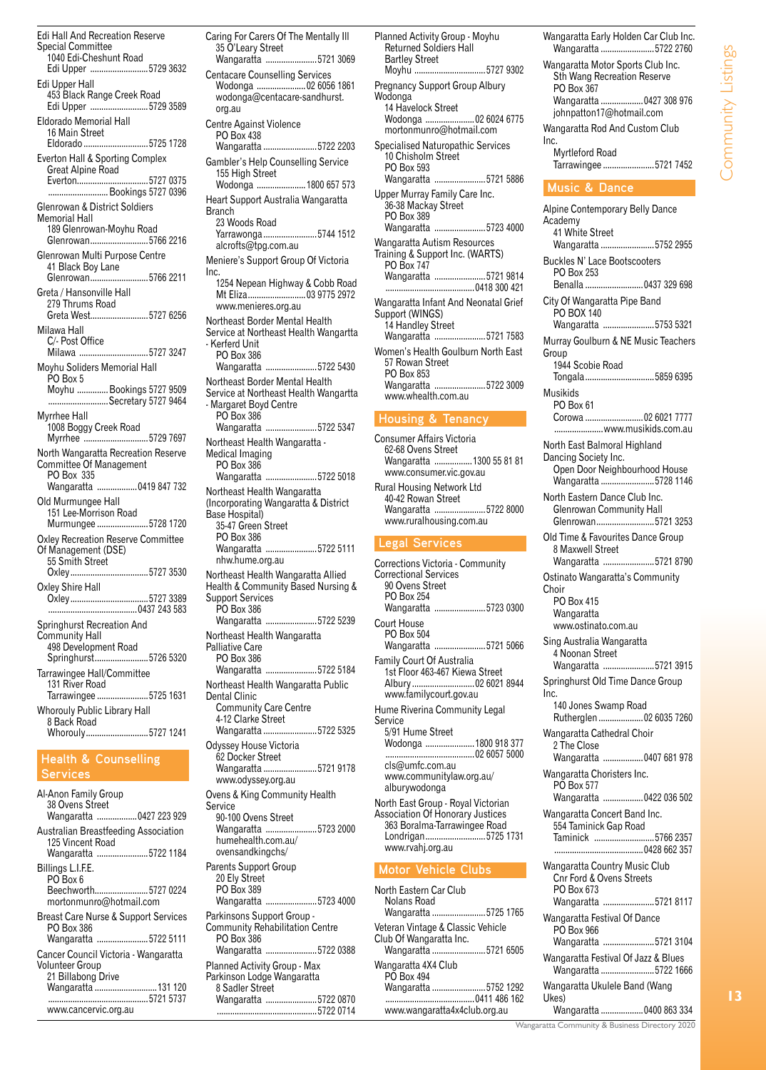Edi Hall And Recreation Reserve Special Committee 1040 Edi-Cheshunt Road Edi Upper ..........................5729 3632 Edi Upper Hall 453 Black Range Creek Road Edi Upper ..........................5729 3589 Eldorado Memorial Hall 16 Main Street<br>Eldorado ............ ....................5725 1728 Everton Hall & Sporting Complex Great Alpine Road Everton................................5727 0375 ..... Bookings 5727 0396 Glenrowan & District Soldiers Memorial Hall 189 Glenrowan-Moyhu Road Glenrowan..........................5766 2216 Glenrowan Multi Purpose Centre 41 Black Boy Lane<br>Glenrowan............... ...................5766 2211 Greta / Hansonville Hall 279 Thrums Road Greta West..........................5727 6256 Milawa Hall C/- Post Office Milawa ...............................5727 3247 Moyhu Soliders Memorial Hall PO Box 5<br>Moyhu ....... ... Bookings 5727 9509 ......Secretary 5727 9464 Myrrhee Hall 1008 Boggy Creek Road Myrrhee ................................5729 7697 North Wangaratta Recreation Reserve Committee Of Management PO Box 335 Wangaratta ..................0419 847 732 Old Murmungee Hall 151 Lee-Morrison Road Murmungee .......................5728 1720 Oxley Recreation Reserve Committee Of Management (DSE) 55 Smith Street<br>Oxley.................... Oxley...................................5727 3530 Oxley Shire Hall Oxley...................................5727 3389 ........................................0437 243 583 Springhurst Recreation And Community Hall 498 Development Road Springhurst........................5726 5320 Tarrawingee Hall/Committee 131 River Road Tarrawingee .......................5725 1631 Whorouly Public Library Hall 8 Back Road Whorouly............................5727 1241 **Health & Counselling Services**

Al-Anon Family Group 38 Ovens Street Wangaratta ..................0427 223 929 Australian Breastfeeding Association 125 Vincent Road Wangaratta .......................5722 1184 Billings L.I.F.E. PO Box 6<br>Beechworth.... ................5727 0224 mortonmunro@hotmail.com Breast Care Nurse & Support Services PO Box 386<br>Wangaratta ... .................5722 5111 Cancer Council Victoria - Wangaratta Volunteer Group 21 Billabong Drive Wangaratta ............................131 120 .............................................5721 5737 www.cancervic.org.au

Caring For Carers Of The Mentally Ill 35 O'Leary Street<br>Wangaratta .......... .................5721 3069 Centacare Counselling Services Wodonga ......................02 6056 1861 wodonga@centacare-sandhurst. org.au Centre Against Violence PO Box 438 Wangaratta ........................5722 2203 Gambler's Help Counselling Service 155 High Street ..............1800 657 573 Heart Support Australia Wangaratta Branch 23 Woods Road Yarrawonga ........................5744 1512 alcrofts@tpg.com.au Meniere's Support Group Of Victoria Inc. 1254 Nepean Highway & Cobb Road Mt Eliza..........................03 9775 2972 www.menieres.org.au Northeast Border Mental Health Service at Northeast Health Wangartta - Kerferd Unit PO Box 386 Wangaratta .......................5722 5430 Northeast Border Mental Health Service at Northeast Health Wangartta - Margaret Boyd Centre PO Box 386 Wangaratta .......................5722 5347 Northeast Health Wangaratta - Medical Imaging PO Box 386<br>Wangaratta .. .................5722 5018 Northeast Health Wangaratta (Incorporating Wangaratta & District Base Hospital) 35-47 Green Street PO Box 386<br>Wangaratta.. Wangaratta .......................5722 5111 nhw.hume.org.au Northeast Health Wangaratta Allied Health & Community Based Nursing & Support Services PO Box 386<br>Wangaratta ... .....................5722 5239 Northeast Health Wangaratta Palliative Care PO Box 386 Wangaratta .......................5722 5184 Northeast Health Wangaratta Public Dental Clinic Community Care Centre 4-12 Clarke Street<br>Wangaratta ............ ..................5722 5325 Odyssey House Victoria 62 Docker Street Wangaratta ........................5721 9178 www.odyssey.org.au Ovens & King Community Health **Service** 90-100 Ovens Street Wangaratta .......................5723 2000 humehealth.com.au/ ovensandkingchs/ Parents Support Group 20 Fly Street PO Box 389 Wangaratta .......................5723 4000 Parkinsons Support Group - Community Rehabilitation Centre PO Box 386<br>Wangaratta... ....................5722 0388 Planned Activity Group - Max Parkinson Lodge Wangaratta 8 Sadler Street Wangaratta .......................5722 0870

.............................................5722 0714

Planned Activity Group - Moyhu Returned Soldiers Hall Bartley Street<br>Moyhu ............ ..............5727 9302 Pregnancy Support Group Albury Wodonga 14 Havelock Street Wodonga ......................02 6024 6775 mortonmunro@hotmail.com Specialised Naturopathic Services 10 Chisholm Street PO Box 593<br>Wangaratta... ..............5721 5886 Upper Murray Family Care Inc. 36-38 Mackay Street PO Box 389<br>Wangaratta... Wangaratta .......................5723 4000 Wangaratta Autism Resources Training & Support Inc. (WARTS) PO Box 747 ..................5721 9814 ........................................0418 300 421 Wangaratta Infant And Neonatal Grief Support (WINGS) 14 Handley Street<br>Wangaratta ......................5721 7583 Wangaratta .... Women's Health Goulburn North East 57 Rowan Street PO Box 853<br>Wangaratta... ..................5722 3009 www.whealth.com.au **Housing & Tenancy** Consumer Affairs Victoria 62-68 Ovens Street Wangaratta .................1300 55 81 81 www.consumer.vic.gov.au Rural Housing Network Ltd 40-42 Rowan Street Wangaratta .......................5722 8000 www.ruralhousing.com.au **Legal Services** Corrections Victoria - Community Correctional Services 90 Ovens Street PO Box 254 Wangaratta .......................5723 0300 Court House PO Box 504 Wangaratta .......................5721 5066 Family Court Of Australia 1st Floor 463-467 Kiewa Street Albury ............................02 6021 8944 www.familycourt.gov.au Hume Riverina Community Legal Service 5/91 Hume Street Wodonga ......................1800 918 377 ........................................02 6057 5000 cls@umfc.com.au www.communitylaw.org.au/ alburywodonga North East Group - Royal Victorian Association Of Honorary Justices 363 Boralma-Tarrawingee Road Londrigan...........................5725 1731 www.rvahj.org.au **Motor Vehicle Clubs** North Eastern Car Club Nolans Road<br>Wangaratta.... ..............5725 1765 Veteran Vintage & Classic Vehicle Club Of Wangaratta Inc.<br>Wangaratta ..................... ..............5721 6505 Wangaratta 4X4 Club PO Box 494<br>Wangaratta ... ........5752 1292

Wangaratta Early Holden Car Club Inc. Wangaratta ........................5722 2760 Wangaratta Motor Sports Club Inc. Sth Wang Recreation Reserve PO Box 367<br>Wangaratta ..... ..............0427 308 976 johnpatton17@hotmail.com Wangaratta Rod And Custom Club Inc. Myrtleford Road Tarrawingee .......................5721 7452 **Music & Dance** Alpine Contemporary Belly Dance Academy 41 White Street<br>Wangaratta ....... ...............5752 2955 Buckles N' Lace Bootscooters PO Box 253<br>Benalla .......... ...........0437 329 698 City Of Wangaratta Pipe Band PO BOX 140<br>Wangaratta ...... Wangaratta .......................5753 5321 Murray Goulburn & NE Music Teachers Group 1944 Scobie Road Tongala...............................5859 6395 Musikids PO Box 61 Corowa ..........................02 6021 7777 ......................www.musikids.com.au North East Balmoral Highland Dancing Society Inc. Open Door Neighbourhood House Wangaratta ........................5728 1146 North Eastern Dance Club Inc. Glenrowan Community Hall Glenrowan..........................5721 3253 Old Time & Favourites Dance Group 8 Maxwell Street Wangaratta .......................5721 8790 Ostinato Wangaratta's Community Choir PO Box 415 Wangaratta www.ostinato.com.au Sing Australia Wangaratta 4 Noonan Street Wangaratta .......................5721 3915 Springhurst Old Time Dance Group Inc. 140 Jones Swamp Road Rutherglen ....................02 6035 7260 Wangaratta Cathedral Choir 2 The Close Wangaratta ..................0407 681 978 Wangaratta Choristers Inc. PO Box 577 Wangaratta ..................0422 036 502 Wangaratta Concert Band Inc. 554 Taminick Gap Road Taminick ...........................5766 2357 ........................................0428 662 357 Wangaratta Country Music Club Cnr Ford & Ovens Streets PO Box 673 Wangaratta .......................5721 8117 Wangaratta Festival Of Dance PO Box 966<br>Wangaratta ... .................5721 3104 Wangaratta Festival Of Jazz & Blues Wangaratta ........................5722 1666 Wangaratta Ukulele Band (Wang Ukes)<br>Wangaratta ...... ...............0400 863 334

Community Listings

Community Listings

**13**

Wangaratta Community & Business Directory 2020

........................................0411 486 162

www.wangaratta4x4club.org.au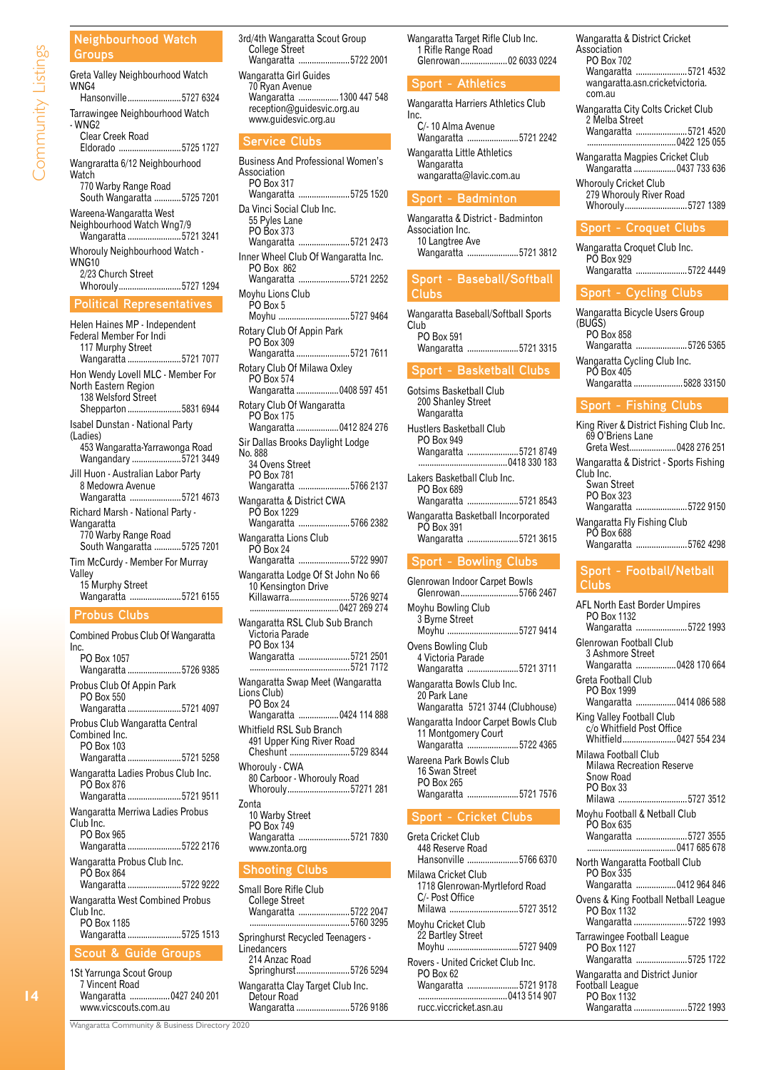## **Neighbourhood Watch**

| Groups                                                                                                                                     |
|--------------------------------------------------------------------------------------------------------------------------------------------|
| Greta Valley Neighbourhood Watch<br>WNG4                                                                                                   |
| Hansonville5727 6324                                                                                                                       |
| Tarrawingee Neighbourhood Watch<br>- WNG <sub>2</sub><br><b>Clear Creek Road</b><br>Eldorado 5725 1727                                     |
| Wangraratta 6/12 Neighbourhood<br>Watch<br>770 Warby Range Road<br>South Wangaratta 5725 7201                                              |
| Wareena-Wangaratta West<br>Neighbourhood Watch Wng7/9<br>Wangaratta 5721 3241                                                              |
| Whorouly Neighbourhood Watch -<br><b>WNG10</b><br>2/23 Church Street<br>Whorouly5727 1294                                                  |
| <b>Political Representatives</b>                                                                                                           |
| Helen Haines MP - Independent<br>Federal Member For Indi<br>117 Murphy Street<br>Wangaratta 5721 7077<br>Hon Wendy Lovell MLC - Member For |
|                                                                                                                                            |
| North Eastern Region<br>138 Welsford Street<br>Shepparton 5831 6944                                                                        |
| <b>Isabel Dunstan - National Party</b><br>(Ladies)<br>453 Wangaratta-Yarrawonga Road<br>Wangandary 5721 3449                               |
| Jill Huon - Australian Labor Party<br>8 Medowra Avenue<br>Wangaratta 5721 4673                                                             |
| Richard Marsh - National Party -<br>Wangaratta<br>770 Warby Range Road<br>South Wangaratta 5725 7201                                       |
| Tim McCurdy - Member For Murray<br>Valley<br>15 Murphy Street<br>Wangaratta 5721 6155                                                      |
| <b>Probus Clubs</b>                                                                                                                        |

| Combined Probus Club Of Wangaratta<br>Inc.                                            |
|---------------------------------------------------------------------------------------|
| PO Box 1057<br>Wangaratta 5726 9385                                                   |
| Probus Club Of Appin Park<br>PO Box 550<br>Wangaratta 5721 4097                       |
| Probus Club Wangaratta Central<br>Combined Inc.<br>PO Box 103<br>Wangaratta 5721 5258 |
| Wangaratta Ladies Probus Club Inc.<br>PO Box 876<br>Wangaratta 5721 9511              |
| Wangaratta Merriwa Ladies Probus<br>Club Inc.<br>PO Box 965<br>Wangaratta 5722 2176   |
| Wangaratta Probus Club Inc.<br>PO Box 864<br>Wangaratta 5722 9222                     |
| Wangaratta West Combined Probus<br>Club Inc.<br>PO Box 1185<br>Wangaratta 5725 1513   |
| <b>Scout &amp; Guide Groups</b>                                                       |
| $101$ Vermine of $0.21$ $0.21$                                                        |

1St Yarrunga Scout Group 7 Vincent Road Wangaratta ..................0427 240 201 www.vicscouts.com.au

Wangaratta .......................5722 2001 Wangaratta Girl Guides 70 Ryan Avenue Wangaratta ..................1300 447 548 reception@guidesvic.org.au www.guidesvic.org.au **Service Clubs** Business And Professional Women's Association PO Box 317 Wangaratta .......................5725 1520 Da Vinci Social Club Inc. 55 Pyles Lane PO Box 373 Wangaratta .......................5721 2473 Inner Wheel Club Of Wangaratta Inc. PO Box 862 Wangaratta .......................5721 2252 Moyhu Lions Club PO Box 5<br>Moyhu ..... ......................5727 9464 Rotary Club Of Appin Park PO Box 309 Wangaratta ........................5721 7611 Rotary Club Of Milawa Oxley PO Box 574<br>Wangaratta.. .............0408 597 451 Rotary Club Of Wangaratta PO Box 175 Wangaratta ...................0412 824 276 Sir Dallas Brooks Daylight Lodge No. 888 34 Ovens Street PO Box 781 Wangaratta .......................5766 2137 Wangaratta & District CWA PO Box 1229 Wangaratta .......................5766 2382 Wangaratta Lions Club PO Box 24 Wangaratta .......................5722 9907 Wangaratta Lodge Of St John No 66 10 Kensington Drive Killawarra...........................5726 9274 ........................................0427 269 274 Wangaratta RSL Club Sub Branch Victoria Parade PO Box 134 Wangaratta .......................5721 2501 .............................................5721 7172 Wangaratta Swap Meet (Wangaratta Lions Club) PO Box 24 Wangaratta ..................0424 114 888 Whitfield RSL Sub Branch 491 Upper King River Road Cheshunt ...........................5729 8344 Whorouly - CWA 80 Carboor - Whorouly Road Whorouly............................57271 281 Zonta 10 Warby Street PO Box 749 Wangaratta .......................5721 7830 www.zonta.org **Shooting Clubs** Small Bore Rifle Club College Street Wangaratta .......................5722 2047 ...5760 3295 Springhurst Recycled Teenagers -

3rd/4th Wangaratta Scout Group College Street

Wangaratta Target Rifle Club Inc. 1 Rifle Range Road Glenrowan.....................02 6033 0224

## **Sport - Athletics**

| Wangaratta Harriers Athletics Club |  |
|------------------------------------|--|
| Inc.                               |  |
| C/-10 Alma Avenue                  |  |
| Wangaratta 5721 2242               |  |
| Wangaratta Little Athletics        |  |
| Wangaratta                         |  |
| wangaratta@lavic.com.au            |  |

## **Sport - Badminton**

Wangaratta & District - Badminton Association Inc. 10 Langtree Ave Wangaratta .......................5721 3812

## **Sport - Baseball/Softball Clubs**

Wangaratta Baseball/Softball Sports Club<sup>-</sup> PO Box 591 Wangaratta .......................5721 3315

## **Sport - Basketball Clubs**

| Gotsims Basketball Club<br>200 Shanley Street<br>Wangaratta |                                    |
|-------------------------------------------------------------|------------------------------------|
| Hustlers Basketball Club<br><b>PO Box 949</b>               |                                    |
|                                                             | Wangaratta 5721 8749               |
| Lakers Basketball Club Inc.<br>PO Box 689                   |                                    |
|                                                             | Wangaratta 5721 8543               |
| PO Box 391                                                  | Wangaratta Basketball Incorporated |
|                                                             | Wangaratta 5721 3615               |

## **Sport - Bowling Clubs**

| Glenrowan Indoor Carpet Bowls<br>Glenrowan5766 2467                                |
|------------------------------------------------------------------------------------|
| Moyhu Bowling Club<br>3 Byrne Street<br>Moyhu 5727 9414                            |
| Ovens Bowling Club<br>4 Victoria Parade<br>Wangaratta 5721 3711                    |
| Wangaratta Bowls Club Inc.<br>20 Park Lane<br>Wangaratta 5721 3744 (Clubhouse)     |
| Wangaratta Indoor Carpet Bowls Club<br>11 Montgomery Court<br>Wangaratta 5722 4365 |
| Wareena Park Bowls Club<br>16 Swan Street<br>PO Box 265<br>Wangaratta 5721 7576    |

## **Sport - Cricket Clubs**

| Greta Cricket Club<br>448 Reserve Road<br>Hansonville 5766 6370                              |
|----------------------------------------------------------------------------------------------|
| Milawa Cricket Club<br>1718 Glenrowan-Myrtleford Road<br>C/- Post Office<br>Milawa 5727 3512 |
| Movhu Cricket Club<br>22 Bartley Street<br>Moyhu 5727 9409                                   |
| Rovers - United Cricket Club Inc.<br>PO Box 62<br>Wangaratta 5721 9178                       |
| rucc.viccricket.asn.au                                                                       |

Wangaratta & District Cricket Association PO Box 702 Wangaratta .......................5721 4532 wangaratta.asn.cricketvictoria. com.au Wangaratta City Colts Cricket Club 2 Melba Street Wangaratta .......................5721 4520 ........................................0422 125 055

Wangaratta Magpies Cricket Club Wangaratta ......................0437 733 636 Whorouly Cricket Club

279 Whorouly River Road Whorouly............................5727 1389

## **Sport - Croquet Clubs**

Wangaratta Croquet Club Inc. PÕ Box 929<br>Wangaratta... ................5722 4449

## **Sport - Cycling Clubs**

Wangaratta Bicycle Users Group (BUGS) PO Box 858 Wangaratta .......................5726 5365 Wangaratta Cycling Club Inc. PO Box 405 Wangaratta ......................5828 33150

## **Sport - Fishing Clubs**

| King River & District Fishing Club Inc.<br>69 O'Briens Lane<br>Greta West 0428 276 251                   |  |
|----------------------------------------------------------------------------------------------------------|--|
| Wangaratta & District - Sports Fishing<br>Club Inc.<br>Swan Street<br>PO Box 323<br>Wangaratta 5722 9150 |  |
| Wangaratta Fly Fishing Club<br>PO Box 688<br>Wangaratta 5762 4298                                        |  |

## **Sport - Football/Netball Clubs**

| AFL North East Border Umpires<br>PO Box 1132                                                           |
|--------------------------------------------------------------------------------------------------------|
| Wangaratta 5722 1993                                                                                   |
| Glenrowan Football Club<br>3 Ashmore Street<br>Wangaratta  0428 170 664                                |
| Greta Football Club<br>PO Box 1999<br>Wangaratta  0414 086 588                                         |
| King Valley Football Club<br>c/o Whitfield Post Office<br>Whitfield0427 554 234                        |
| Milawa Football Club<br>Milawa Recreation Reserve<br>Snow Road<br><b>PO Box 33</b><br>Milawa 5727 3512 |
| Moyhu Football & Netball Club<br>PO Box 635<br>Wangaratta 5727 3555                                    |
| North Wangaratta Football Club<br>PO Box 335<br>Wangaratta 0412 964 846                                |
| Ovens & King Football Netball League<br>PO Box 1132<br>Wangaratta 5722 1993                            |
| Tarrawingee Football League<br>PO Box 1127<br>Wangaratta 5725 1722                                     |
| Wangaratta and District Junior<br>Football League<br>PO Box 1132                                       |
| Wangaratta 5722 1993                                                                                   |

Wangaratta Community & Business Directory 2020

**Linedancers** 214 Anzac Road

Detour Road

Springhurst........................5726 5294 Wangaratta Clay Target Club Inc.

Wangaratta ........................5726 9186

 $\overline{14}$